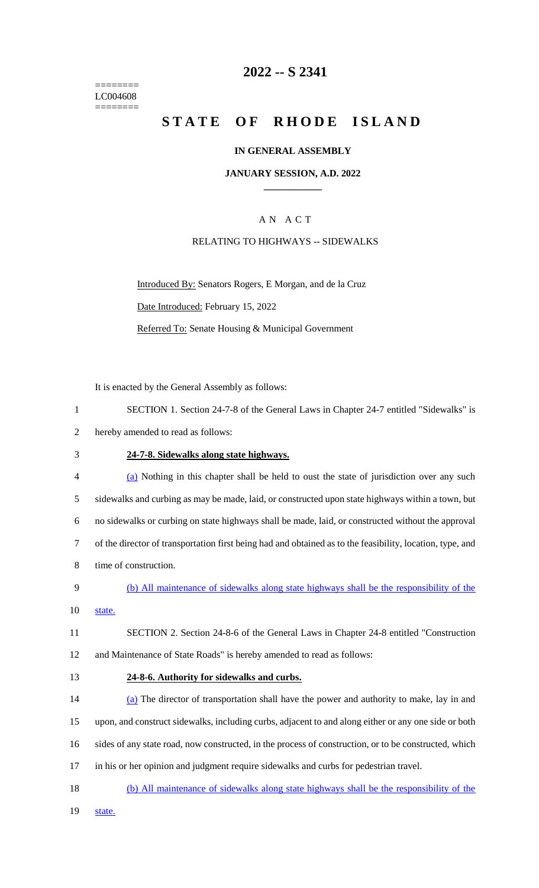======== LC004608 ========

### **2022 -- S 2341**

# **STATE OF RHODE ISLAND**

#### **IN GENERAL ASSEMBLY**

### **JANUARY SESSION, A.D. 2022 \_\_\_\_\_\_\_\_\_\_\_\_**

### A N A C T

#### RELATING TO HIGHWAYS -- SIDEWALKS

Introduced By: Senators Rogers, E Morgan, and de la Cruz Date Introduced: February 15, 2022 Referred To: Senate Housing & Municipal Government

It is enacted by the General Assembly as follows:

|  |  |  |  | SECTION 1. Section 24-7-8 of the General Laws in Chapter 24-7 entitled "Sidewalks" is |  |  |  |  |  |
|--|--|--|--|---------------------------------------------------------------------------------------|--|--|--|--|--|
|--|--|--|--|---------------------------------------------------------------------------------------|--|--|--|--|--|

- 2 hereby amended to read as follows:
- 3 **24-7-8. Sidewalks along state highways.**
- 4 (a) Nothing in this chapter shall be held to oust the state of jurisdiction over any such 5 sidewalks and curbing as may be made, laid, or constructed upon state highways within a town, but 6 no sidewalks or curbing on state highways shall be made, laid, or constructed without the approval 7 of the director of transportation first being had and obtained as to the feasibility, location, type, and 8 time of construction.
- 9 (b) All maintenance of sidewalks along state highways shall be the responsibility of the 10 state.
- 11 SECTION 2. Section 24-8-6 of the General Laws in Chapter 24-8 entitled "Construction 12 and Maintenance of State Roads" is hereby amended to read as follows:
- 13 **24-8-6. Authority for sidewalks and curbs.**
- 14 (a) The director of transportation shall have the power and authority to make, lay in and 15 upon, and construct sidewalks, including curbs, adjacent to and along either or any one side or both 16 sides of any state road, now constructed, in the process of construction, or to be constructed, which 17 in his or her opinion and judgment require sidewalks and curbs for pedestrian travel.
- 18 (b) All maintenance of sidewalks along state highways shall be the responsibility of the
- 19 state.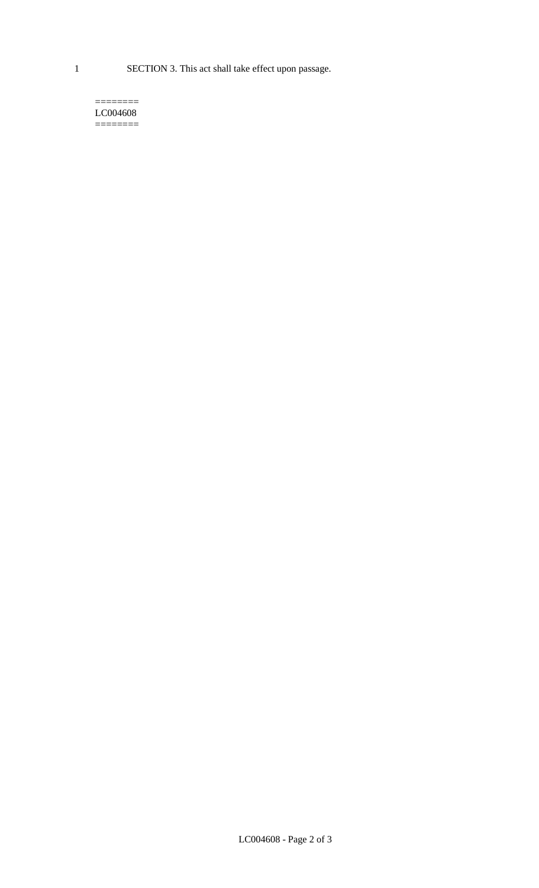1 SECTION 3. This act shall take effect upon passage.

#### $=$ LC004608  $=$